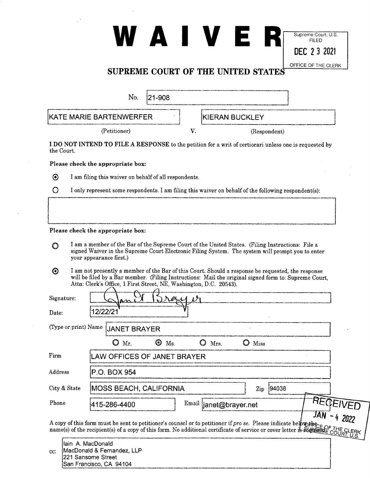# **WARDER Supreme Court, U.S.** FILED **DEC 2 3 2021**

### OFFICE OF THE CLERK **SUPREME COURT OF THE UNITED STATES**

| No.                                                                                                      | 121-908 |                       |  |
|----------------------------------------------------------------------------------------------------------|---------|-----------------------|--|
| KATE MARIE BARTENWERFER                                                                                  |         | <b>KIERAN BUCKLEY</b> |  |
| (Petitioner)                                                                                             |         | (Respondent)          |  |
| <b>NOT INTEND TO FILE A RESPONSE</b> to the petition for a writ of certiorari unless one is requested by |         |                       |  |

 $I$  A RESPONSE to the petition for a writ of certiorari unless one is requested by the Court.

Please check the appropriate box:



I am filing this waiver on behalf of all respondents.

|  |  |  |  |  |  | $\bigcirc$ I only represent some respondents. I am filing this waiver on behalf of the following respondent(s): |  |
|--|--|--|--|--|--|-----------------------------------------------------------------------------------------------------------------|--|
|--|--|--|--|--|--|-----------------------------------------------------------------------------------------------------------------|--|

### Please check the appropriate box:

San Francisco, CA 94104

- 0 I am a member of the Bar of the Supreme Court of the United States. (Filing Instructions: File a signed Waiver in the Supreme Court Electronic Filing System. The system will prompt you to enter your appearance first.)
- 0 I am not presently a member of the Bar of this Court. Should a response be requested, the response will be filed by a Bar member. (Filing Instructions: Mail the original signed form to: Supreme Court, Attn: Clerk's Office, 1 First Street, NE, Washington, D.C. 20543).

| Signature:<br>Date:                                                                                                                                                                                                                 | $N$ ex $\overline{M}$<br>$\mathbf{M}$<br>12/22/21 |          |  |  |  |
|-------------------------------------------------------------------------------------------------------------------------------------------------------------------------------------------------------------------------------------|---------------------------------------------------|----------|--|--|--|
| (Type or print) Name                                                                                                                                                                                                                | <b>JANET BRAYER</b>                               |          |  |  |  |
|                                                                                                                                                                                                                                     | $\odot$<br>Ö<br>Mr.<br>Ms.<br>O<br>Mrs.<br>Miss   |          |  |  |  |
| Firm                                                                                                                                                                                                                                | LAW OFFICES OF JANET BRAYER                       |          |  |  |  |
| Address                                                                                                                                                                                                                             | P.O. BOX 954                                      |          |  |  |  |
| City & State                                                                                                                                                                                                                        | <b>MOSS BEACH, CALIFORNIA</b><br>94038<br>Zip     |          |  |  |  |
| Phone                                                                                                                                                                                                                               | Email<br>415-286-4400<br>janet@brayer.net         | REGEIVED |  |  |  |
| A copy of this form must be sent to petitioner's counsel or to petitioner if <i>pro se</i> . Please indicate below the current of service of the recipient(s) of a copy of this form. No additional certificate of service or cover |                                                   |          |  |  |  |
| lain A. MacDonald<br>cc:                                                                                                                                                                                                            | MacDonald & Fernandez, LLP<br>221 Sansome Street  |          |  |  |  |